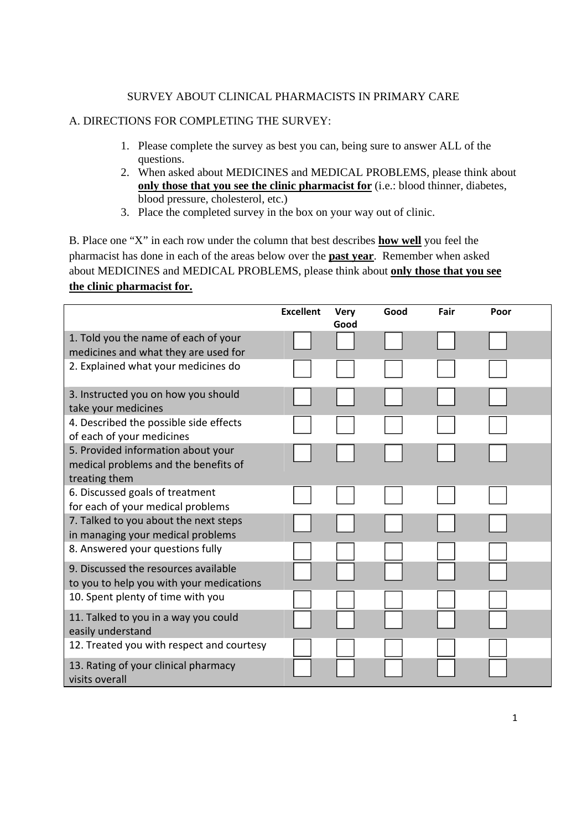## SURVEY ABOUT CLINICAL PHARMACISTS IN PRIMARY CARE

## A. DIRECTIONS FOR COMPLETING THE SURVEY:

- 1. Please complete the survey as best you can, being sure to answer ALL of the questions.
- 2. When asked about MEDICINES and MEDICAL PROBLEMS, please think about **only those that you see the clinic pharmacist for** (i.e.: blood thinner, diabetes, blood pressure, cholesterol, etc.)
- 3. Place the completed survey in the box on your way out of clinic.

B. Place one "X" in each row under the column that best describes **how well** you feel the pharmacist has done in each of the areas below over the **past year**. Remember when asked about MEDICINES and MEDICAL PROBLEMS, please think about **only those that you see the clinic pharmacist for.**

|                                           | <b>Excellent</b> | <b>Very</b> | Good | Fair | Poor |  |
|-------------------------------------------|------------------|-------------|------|------|------|--|
| 1. Told you the name of each of your      |                  | Good        |      |      |      |  |
| medicines and what they are used for      |                  |             |      |      |      |  |
| 2. Explained what your medicines do       |                  |             |      |      |      |  |
|                                           |                  |             |      |      |      |  |
| 3. Instructed you on how you should       |                  |             |      |      |      |  |
| take your medicines                       |                  |             |      |      |      |  |
| 4. Described the possible side effects    |                  |             |      |      |      |  |
| of each of your medicines                 |                  |             |      |      |      |  |
| 5. Provided information about your        |                  |             |      |      |      |  |
| medical problems and the benefits of      |                  |             |      |      |      |  |
| treating them                             |                  |             |      |      |      |  |
| 6. Discussed goals of treatment           |                  |             |      |      |      |  |
| for each of your medical problems         |                  |             |      |      |      |  |
| 7. Talked to you about the next steps     |                  |             |      |      |      |  |
| in managing your medical problems         |                  |             |      |      |      |  |
| 8. Answered your questions fully          |                  |             |      |      |      |  |
| 9. Discussed the resources available      |                  |             |      |      |      |  |
| to you to help you with your medications  |                  |             |      |      |      |  |
| 10. Spent plenty of time with you         |                  |             |      |      |      |  |
| 11. Talked to you in a way you could      |                  |             |      |      |      |  |
| easily understand                         |                  |             |      |      |      |  |
| 12. Treated you with respect and courtesy |                  |             |      |      |      |  |
| 13. Rating of your clinical pharmacy      |                  |             |      |      |      |  |
| visits overall                            |                  |             |      |      |      |  |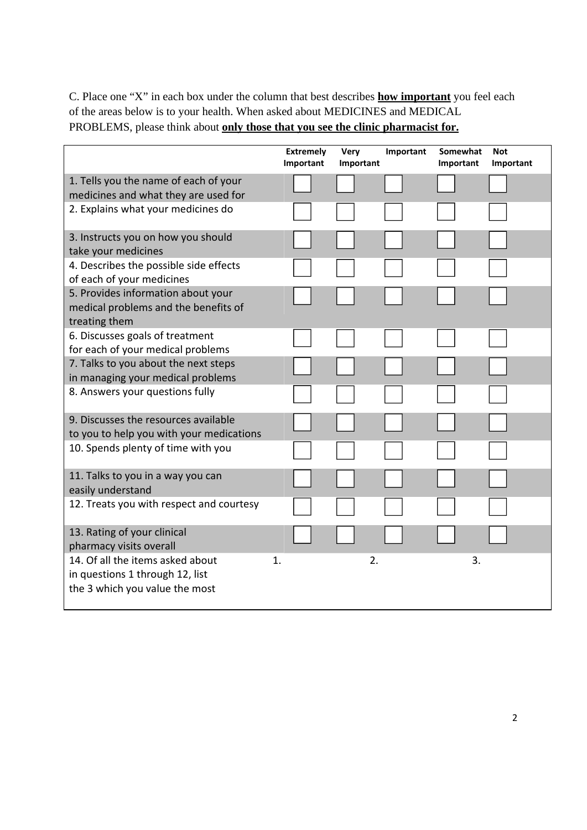C. Place one "X" in each box under the column that best describes **how important** you feel each of the areas below is to your health. When asked about MEDICINES and MEDICAL PROBLEMS, please think about **only those that you see the clinic pharmacist for.**

|                                                                                                       | <b>Extremely</b><br>Important | Very<br>Important | Important | Somewhat<br>Important | <b>Not</b><br>Important |
|-------------------------------------------------------------------------------------------------------|-------------------------------|-------------------|-----------|-----------------------|-------------------------|
| 1. Tells you the name of each of your<br>medicines and what they are used for                         |                               |                   |           |                       |                         |
| 2. Explains what your medicines do                                                                    |                               |                   |           |                       |                         |
| 3. Instructs you on how you should<br>take your medicines                                             |                               |                   |           |                       |                         |
| 4. Describes the possible side effects<br>of each of your medicines                                   |                               |                   |           |                       |                         |
| 5. Provides information about your<br>medical problems and the benefits of<br>treating them           |                               |                   |           |                       |                         |
| 6. Discusses goals of treatment<br>for each of your medical problems                                  |                               |                   |           |                       |                         |
| 7. Talks to you about the next steps<br>in managing your medical problems                             |                               |                   |           |                       |                         |
| 8. Answers your questions fully                                                                       |                               |                   |           |                       |                         |
| 9. Discusses the resources available<br>to you to help you with your medications                      |                               |                   |           |                       |                         |
| 10. Spends plenty of time with you                                                                    |                               |                   |           |                       |                         |
| 11. Talks to you in a way you can<br>easily understand                                                |                               |                   |           |                       |                         |
| 12. Treats you with respect and courtesy                                                              |                               |                   |           |                       |                         |
| 13. Rating of your clinical<br>pharmacy visits overall                                                |                               |                   |           |                       |                         |
| 14. Of all the items asked about<br>in questions 1 through 12, list<br>the 3 which you value the most | 1.                            | 2.                |           | 3.                    |                         |